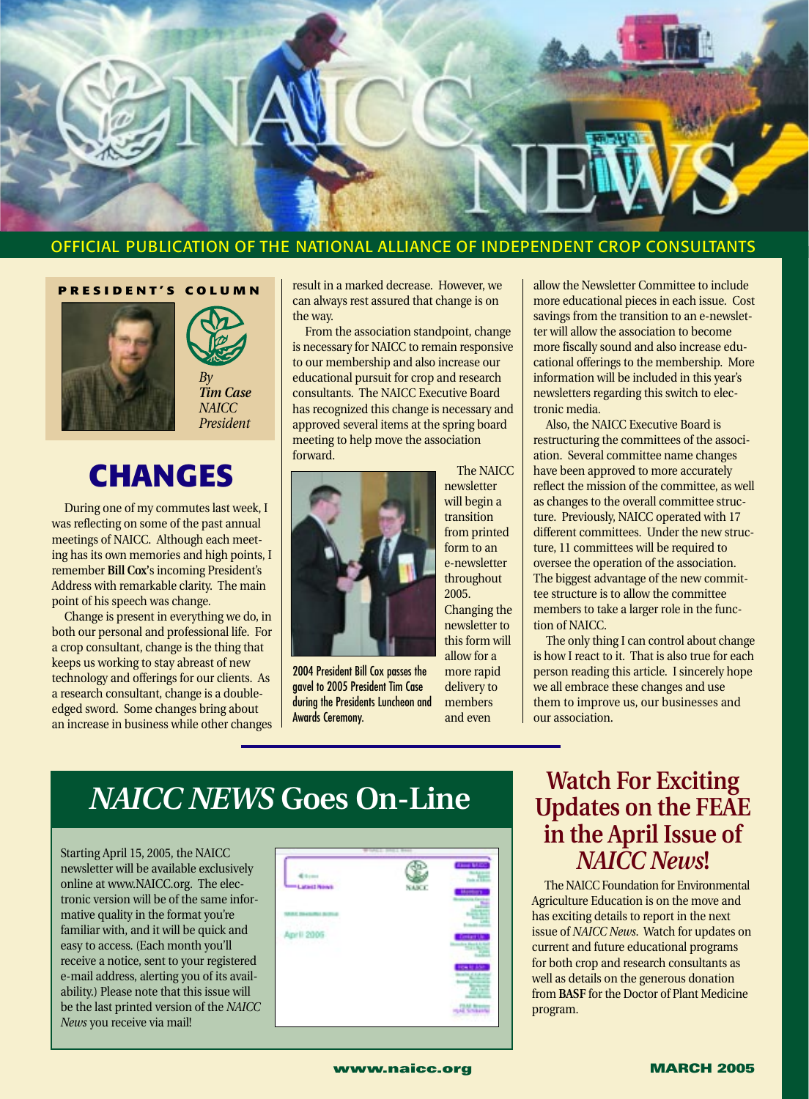

#### OFFICIAL PUBLICATION OF THE NATIONAL ALLIANCE OF INDEPENDENT CROP CONSULTANTS

**PRESIDENT'S COLUMN**





*President*

# **CHANGES**

During one of my commutes last week, I was reflecting on some of the past annual meetings of NAICC. Although each meeting has its own memories and high points, I remember **Bill Cox'**s incoming President's Address with remarkable clarity. The main point of his speech was change.

Change is present in everything we do, in both our personal and professional life. For a crop consultant, change is the thing that keeps us working to stay abreast of new technology and offerings for our clients. As a research consultant, change is a doubleedged sword. Some changes bring about an increase in business while other changes result in a marked decrease. However, we can always rest assured that change is on the way.

From the association standpoint, change is necessary for NAICC to remain responsive to our membership and also increase our educational pursuit for crop and research consultants. The NAICC Executive Board has recognized this change is necessary and approved several items at the spring board meeting to help move the association forward.



2004 President Bill Cox passes the gavel to 2005 President Tim Case during the Presidents Luncheon and Awards Ceremony.

The NAICC newsletter will begin a transition from printed form to an e-newsletter throughout 2005. Changing the

newsletter to this form will allow for a more rapid delivery to

members and even

allow the Newsletter Committee to include more educational pieces in each issue. Cost savings from the transition to an e-newsletter will allow the association to become more fiscally sound and also increase educational offerings to the membership. More information will be included in this year's newsletters regarding this switch to electronic media.

Also, the NAICC Executive Board is restructuring the committees of the association. Several committee name changes have been approved to more accurately reflect the mission of the committee, as well as changes to the overall committee structure. Previously, NAICC operated with 17 different committees. Under the new structure, 11 committees will be required to oversee the operation of the association. The biggest advantage of the new committee structure is to allow the committee members to take a larger role in the function of NAICC.

The only thing I can control about change is how I react to it. That is also true for each person reading this article. I sincerely hope we all embrace these changes and use them to improve us, our businesses and our association.

# *NAICC NEWS* **Goes On-Line**

Starting April 15, 2005, the NAICC newsletter will be available exclusively online at www.NAICC.org. The electronic version will be of the same informative quality in the format you're familiar with, and it will be quick and easy to access. (Each month you'll receive a notice, sent to your registered e-mail address, alerting you of its availability.) Please note that this issue will be the last printed version of the *NAICC News* you receive via mail!



### **Watch For Exciting Updates on the FEAE in the April Issue of** *NAICC News***!**

The NAICC Foundation for Environmental Agriculture Education is on the move and has exciting details to report in the next issue of *NAICC News*. Watch for updates on current and future educational programs for both crop and research consultants as well as details on the generous donation from **BASF** for the Doctor of Plant Medicine program.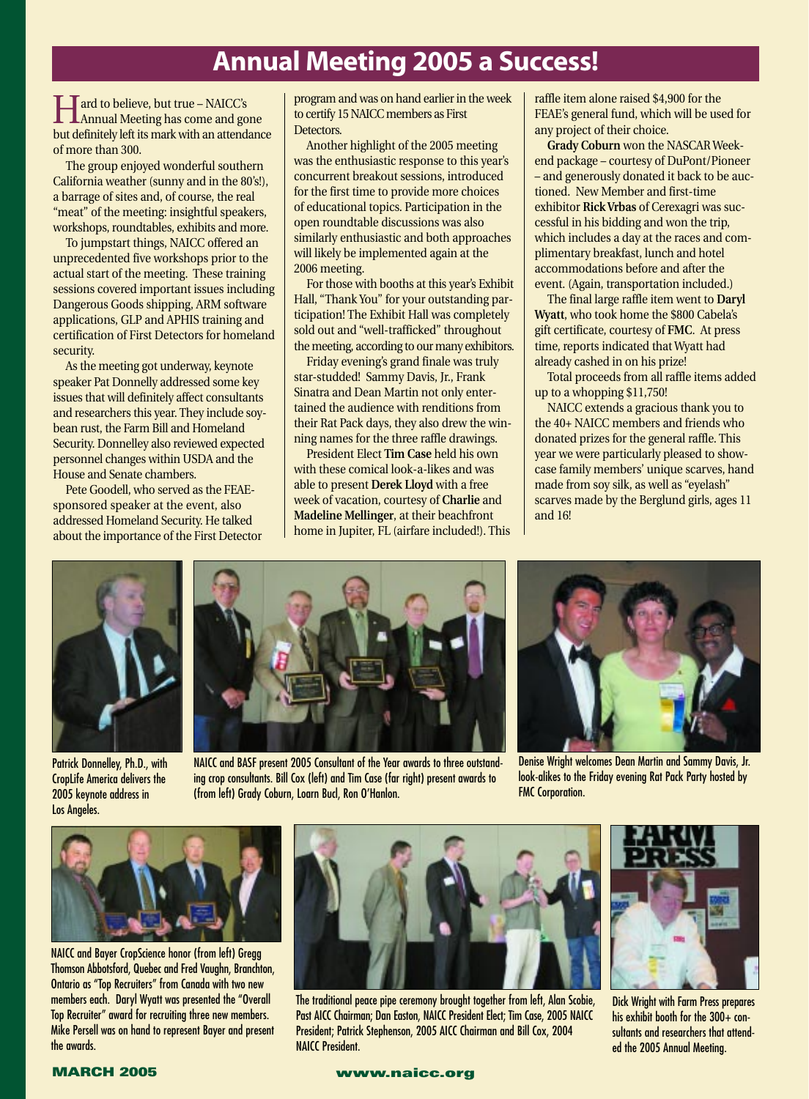## **Annual Meeting 2005 a Success!**

Hard to believe, but true – NAICC's Annual Meeting has come and gone but definitely left its mark with an attendance of more than 300.

The group enjoyed wonderful southern California weather (sunny and in the 80's!), a barrage of sites and, of course, the real "meat" of the meeting: insightful speakers, workshops, roundtables, exhibits and more.

To jumpstart things, NAICC offered an unprecedented five workshops prior to the actual start of the meeting. These training sessions covered important issues including Dangerous Goods shipping, ARM software applications, GLP and APHIS training and certification of First Detectors for homeland security.

As the meeting got underway, keynote speaker Pat Donnelly addressed some key issues that will definitely affect consultants and researchers this year. They include soybean rust, the Farm Bill and Homeland Security. Donnelley also reviewed expected personnel changes within USDA and the House and Senate chambers.

Pete Goodell, who served as the FEAEsponsored speaker at the event, also addressed Homeland Security. He talked about the importance of the First Detector program and was on hand earlier in the week to certify 15 NAICC members as First Detectors.

Another highlight of the 2005 meeting was the enthusiastic response to this year's concurrent breakout sessions, introduced for the first time to provide more choices of educational topics. Participation in the open roundtable discussions was also similarly enthusiastic and both approaches will likely be implemented again at the 2006 meeting.

For those with booths at this year's Exhibit Hall, "Thank You" for your outstanding participation! The Exhibit Hall was completely sold out and "well-trafficked" throughout the meeting, according to our many exhibitors.

Friday evening's grand finale was truly star-studded! Sammy Davis, Jr., Frank Sinatra and Dean Martin not only entertained the audience with renditions from their Rat Pack days, they also drew the winning names for the three raffle drawings.

President Elect **Tim Case** held his own with these comical look-a-likes and was able to present **Derek Lloyd** with a free week of vacation, courtesy of **Charlie** and **Madeline Mellinger**, at their beachfront home in Jupiter, FL (airfare included!). This raffle item alone raised \$4,900 for the FEAE's general fund, which will be used for any project of their choice.

**Grady Coburn** won the NASCAR Weekend package – courtesy of DuPont/Pioneer – and generously donated it back to be auctioned. New Member and first-time exhibitor **Rick Vrbas** of Cerexagri was successful in his bidding and won the trip, which includes a day at the races and complimentary breakfast, lunch and hotel accommodations before and after the event. (Again, transportation included.)

The final large raffle item went to **Daryl Wyatt**, who took home the \$800 Cabela's gift certificate, courtesy of **FMC**. At press time, reports indicated that Wyatt had already cashed in on his prize!

Total proceeds from all raffle items added up to a whopping \$11,750!

NAICC extends a gracious thank you to the 40+ NAICC members and friends who donated prizes for the general raffle. This year we were particularly pleased to showcase family members' unique scarves, hand made from soy silk, as well as "eyelash" scarves made by the Berglund girls, ages 11 and 16!



Patrick Donnelley, Ph.D., with CropLife America delivers the 2005 keynote address in Los Angeles.



NAICC and BASF present 2005 Consultant of the Year awards to three outstanding crop consultants. Bill Cox (left) and Tim Case (far right) present awards to (from left) Grady Coburn, Loarn Bucl, Ron O'Hanlon.



Denise Wright welcomes Dean Martin and Sammy Davis, Jr. look-alikes to the Friday evening Rat Pack Party hosted by FMC Corporation.



NAICC and Bayer CropScience honor (from left) Gregg Thomson Abbotsford, Quebec and Fred Vaughn, Branchton, Ontario as "Top Recruiters" from Canada with two new members each. Daryl Wyatt was presented the "Overall Top Recruiter" award for recruiting three new members. Mike Persell was on hand to represent Bayer and present the awards.



The traditional peace pipe ceremony brought together from left, Alan Scobie, Past AICC Chairman; Dan Easton, NAICC President Elect; Tim Case, 2005 NAICC President; Patrick Stephenson, 2005 AICC Chairman and Bill Cox, 2004 NAICC President.



Dick Wright with Farm Press prepares his exhibit booth for the 300+ consultants and researchers that attended the 2005 Annual Meeting.

#### **MARCH 2005 www.naicc.org**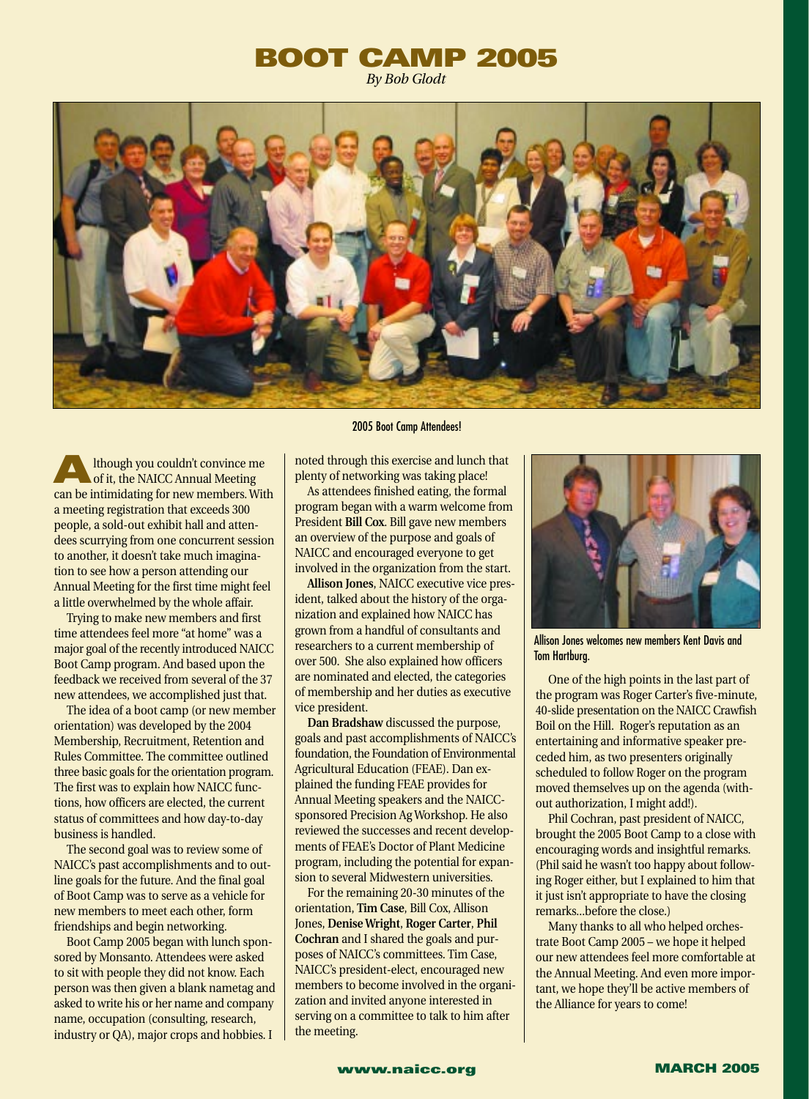### **BOOT CAMP 2005** *By Bob Glodt*



**A**lthough you couldn't convince me<br>
of it, the NAICC Annual Meeting can be intimidating for new members. With a meeting registration that exceeds 300 people, a sold-out exhibit hall and attendees scurrying from one concurrent session to another, it doesn't take much imagination to see how a person attending our Annual Meeting for the first time might feel a little overwhelmed by the whole affair.

Trying to make new members and first time attendees feel more "at home" was a major goal of the recently introduced NAICC Boot Camp program. And based upon the feedback we received from several of the 37 new attendees, we accomplished just that.

The idea of a boot camp (or new member orientation) was developed by the 2004 Membership, Recruitment, Retention and Rules Committee. The committee outlined three basic goals for the orientation program. The first was to explain how NAICC functions, how officers are elected, the current status of committees and how day-to-day business is handled.

The second goal was to review some of NAICC's past accomplishments and to outline goals for the future. And the final goal of Boot Camp was to serve as a vehicle for new members to meet each other, form friendships and begin networking.

Boot Camp 2005 began with lunch sponsored by Monsanto. Attendees were asked to sit with people they did not know. Each person was then given a blank nametag and asked to write his or her name and company name, occupation (consulting, research, industry or QA), major crops and hobbies. I

#### 2005 Boot Camp Attendees!

noted through this exercise and lunch that plenty of networking was taking place!

As attendees finished eating, the formal program began with a warm welcome from President **Bill Cox**. Bill gave new members an overview of the purpose and goals of NAICC and encouraged everyone to get involved in the organization from the start.

**Allison Jones**, NAICC executive vice president, talked about the history of the organization and explained how NAICC has grown from a handful of consultants and researchers to a current membership of over 500. She also explained how officers are nominated and elected, the categories of membership and her duties as executive vice president.

**Dan Bradshaw** discussed the purpose, goals and past accomplishments of NAICC's foundation, the Foundation of Environmental Agricultural Education (FEAE). Dan explained the funding FEAE provides for Annual Meeting speakers and the NAICCsponsored Precision Ag Workshop. He also reviewed the successes and recent developments of FEAE's Doctor of Plant Medicine program, including the potential for expansion to several Midwestern universities.

For the remaining 20-30 minutes of the orientation, **Tim Case**, Bill Cox, Allison Jones, **Denise Wright**, **Roger Carter**, **Phil Cochran** and I shared the goals and purposes of NAICC's committees. Tim Case, NAICC's president-elect, encouraged new members to become involved in the organization and invited anyone interested in serving on a committee to talk to him after the meeting.



Allison Jones welcomes new members Kent Davis and Tom Hartburg.

One of the high points in the last part of the program was Roger Carter's five-minute, 40-slide presentation on the NAICC Crawfish Boil on the Hill. Roger's reputation as an entertaining and informative speaker preceded him, as two presenters originally scheduled to follow Roger on the program moved themselves up on the agenda (without authorization, I might add!).

Phil Cochran, past president of NAICC, brought the 2005 Boot Camp to a close with encouraging words and insightful remarks. (Phil said he wasn't too happy about following Roger either, but I explained to him that it just isn't appropriate to have the closing remarks...before the close.)

Many thanks to all who helped orchestrate Boot Camp 2005 – we hope it helped our new attendees feel more comfortable at the Annual Meeting. And even more important, we hope they'll be active members of the Alliance for years to come!